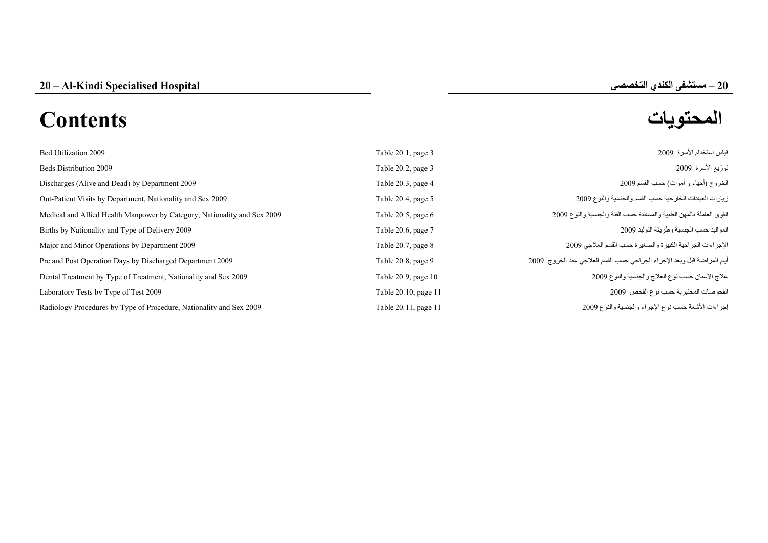# **المحتويات Contents**

|     | حيم      |
|-----|----------|
| اد. | $\Delta$ |
|     |          |

| Bed Utilization 2009                                                     | Table 20.1, page 3      | قياس استخدام الأسرة 2009                                                 |
|--------------------------------------------------------------------------|-------------------------|--------------------------------------------------------------------------|
| <b>Beds Distribution 2009</b>                                            | Table 20.2, page 3      | توزيع الأسرة 2009                                                        |
| Discharges (Alive and Dead) by Department 2009                           | Table 20.3, page 4      | الخروج (أحياء و أموات) حسب القسم 2009                                    |
| Out-Patient Visits by Department, Nationality and Sex 2009               | Table 20.4, page 5      | زيارات العيادات الخارجية حسب القسم والجنسية والنوع 2009                  |
| Medical and Allied Health Manpower by Category, Nationality and Sex 2009 | Table $20.5$ , page $6$ | القوى العاملة بالمهن الطبية والمساندة حسب الفئة والجنسية والنوع 2009     |
| Births by Nationality and Type of Delivery 2009                          | Table 20.6, page 7      | المواليد حسب الجنسية وطريقة التوليد 2009                                 |
| Major and Minor Operations by Department 2009                            | Table 20.7, page 8      | الإجراءات الجراحية الكبيرة والصغيرة حسب القسم العلاجي 2009               |
| Pre and Post Operation Days by Discharged Department 2009                | Table 20.8, page 9      | أيام المراضنة قبل وبعد الإجراء الجراحي حسب القسم العلاجي عند الخروج 2009 |
| Dental Treatment by Type of Treatment, Nationality and Sex 2009          | Table 20.9, page 10     | علاج الأسنان حسب نوع العلاج والجنسية والنوع 2009                         |
| Laboratory Tests by Type of Test 2009                                    | Table 20.10, page 11    | الفحوصات المختبرية حسب نوع الفحص 2009                                    |
| Radiology Procedures by Type of Procedure, Nationality and Sex 2009      | Table 20.11, page 11    | إجراءات الأشعة حسب نوع الإجراء والجنسية والنوع 2009                      |
|                                                                          |                         |                                                                          |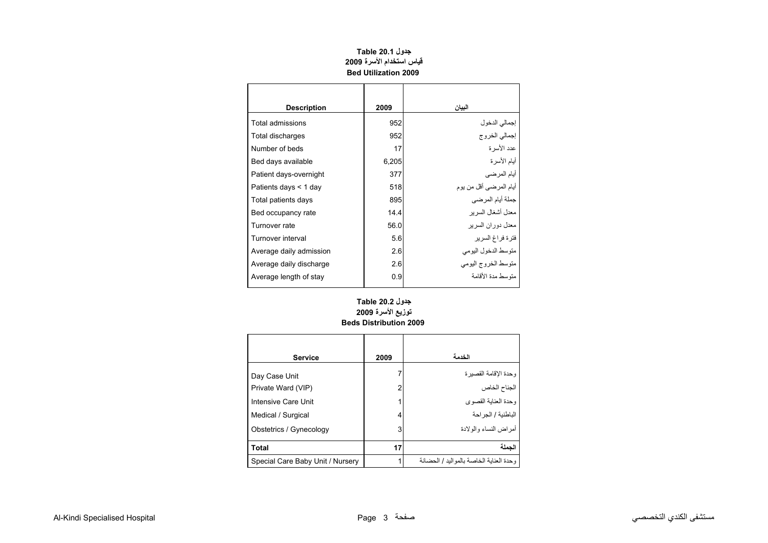# **جدول 20.1 Table قياس استخدام الأسرة <sup>2009</sup> Bed Utilization 2009**

<span id="page-1-0"></span>

| <b>Description</b>      | 2009  | البيان                  |
|-------------------------|-------|-------------------------|
| Total admissions        | 952   | إجمالي الدخول           |
| Total discharges        | 952   | إجمالي الخروج           |
| Number of beds          | 17    | عدد الأسر ة             |
| Bed days available      | 6,205 | أيام الأسرة             |
| Patient days-overnight  | 377   | أيام المرضى             |
| Patients days < 1 day   | 518   | أيام المرضىي أقل من يوم |
| Total patients days     | 895   | جملة أيام المرضي        |
| Bed occupancy rate      | 14.4  | معدل أشغال السر بر      |
| Turnover rate           | 56.0  | معدل دور ان السر بر     |
| Turnover interval       | 5.6   | فترة فراغ السرير        |
| Average daily admission | 2.6   | متوسط الدخول اليومي     |
| Average daily discharge | 2.6   | متوسط الخروج اليومي     |
| Average length of stay  | 0.9   | منّه سط مدة الأقامة     |
|                         |       |                         |

# **توزيع الأسرة <sup>2009</sup> Beds Distribution 2009 جدول 20.2 Table**

| <b>Service</b>                   | 2009 | الخدمة                                   |
|----------------------------------|------|------------------------------------------|
| Day Case Unit                    |      | وحدة الإقامة القصيرة                     |
| Private Ward (VIP)               | 2    | الجناح الخاص                             |
| Intensive Care Unit              |      | وحدة العناية القصوى                      |
| Medical / Surgical               | 4    | الباطنية / الجر احة                      |
| Obstetrics / Gynecology          | 3    | أمر اض النساء والو لادة                  |
| <b>Total</b>                     | 17   | الحملة                                   |
| Special Care Baby Unit / Nursery |      | وحدة العنابة الخاصة بالمو البد / الحضانة |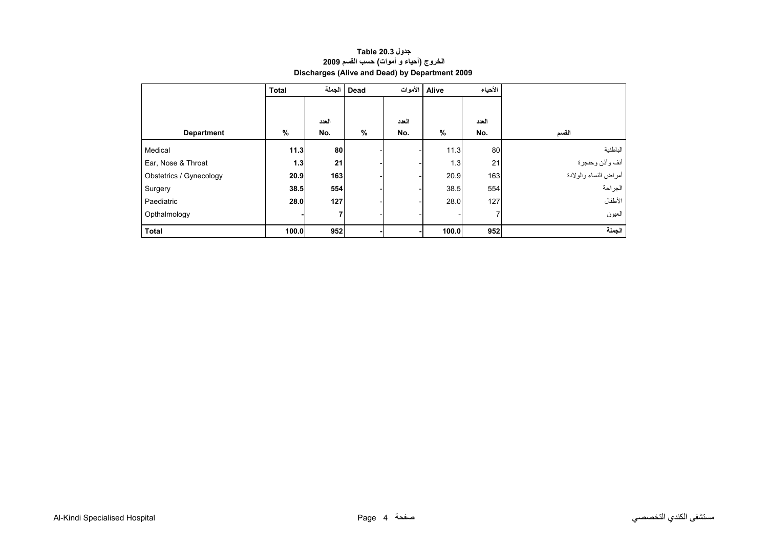# **جدول 20.3 Table الخروج (أحياء <sup>و</sup> أموات) حسب القسم <sup>2009</sup> Discharges (Alive and Dead) by Department 2009**

<span id="page-2-0"></span>

|                         | <b>Total</b> |                | Dead   الجملة | Alive الأموات |       | الأحياء |                       |
|-------------------------|--------------|----------------|---------------|---------------|-------|---------|-----------------------|
|                         |              |                |               |               |       |         |                       |
|                         |              | العدد          |               | العدد         |       | العدد   |                       |
| <b>Department</b>       | %            | No.            | %             | No.           | %     | No.     | القسم                 |
| Medical                 | 11.3         | 80             |               |               | 11.3  | 80      | الباطنية              |
| Ear, Nose & Throat      | 1.3          | 21             |               |               | 1.3   | 21      | أنف وأذن وحنجرة       |
| Obstetrics / Gynecology | 20.9         | 163            |               |               | 20.9  | 163     | أمراض النساء والولادة |
| Surgery                 | 38.5         | 554            |               |               | 38.5  | 554     | الجراحة               |
| Paediatric              | 28.0         | 127            |               |               | 28.0  | 127     | الأطفال               |
| Opthalmology            |              | $\overline{7}$ |               |               |       |         | العيون                |
| <b>Total</b>            | 100.0        | 952            |               |               | 100.0 | 952     | الجملة                |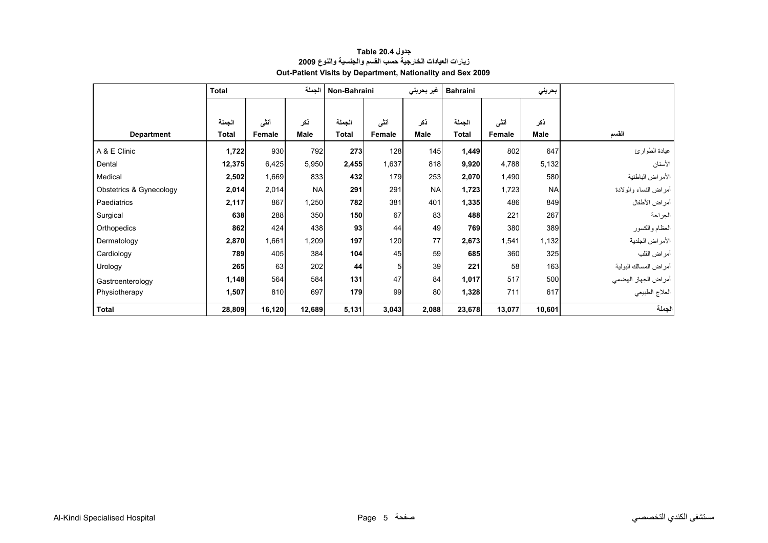<span id="page-3-0"></span>

|                         | الجملة<br><b>Total</b> |        | غیر بحرین <i>ی</i><br>Non-Bahraini |              | <b>Bahraini</b><br>بحريني |             |              |        |             |                       |
|-------------------------|------------------------|--------|------------------------------------|--------------|---------------------------|-------------|--------------|--------|-------------|-----------------------|
|                         |                        |        |                                    |              |                           |             |              |        |             |                       |
|                         | الجملة                 | أننى   | ذكر                                | الجملة       | أنشى                      | ذكر         | الجملة       | أننى   | نكر         |                       |
| <b>Department</b>       | <b>Total</b>           | Female | <b>Male</b>                        | <b>Total</b> | Female                    | <b>Male</b> | <b>Total</b> | Female | <b>Male</b> | القسم                 |
| A & E Clinic            | 1,722                  | 930    | 792                                | 273          | 128                       | 145         | 1,449        | 802    | 647         | عيادة الطوارئ         |
| Dental                  | 12,375                 | 6,425  | 5,950                              | 2,455        | 1,637                     | 818         | 9,920        | 4,788  | 5,132       | الأسنان               |
| Medical                 | 2,502                  | 1,669  | 833                                | 432          | 179                       | 253         | 2,070        | 1,490  | 580         | الأمراض الباطنية      |
| Obstetrics & Gynecology | 2,014                  | 2,014  | <b>NA</b>                          | 291          | 291                       | <b>NA</b>   | 1,723        | 1,723  | <b>NA</b>   | أمراض النساء والولادة |
| Paediatrics             | 2,117                  | 867    | 1,250                              | 782          | 381                       | 401         | 1,335        | 486    | 849         | أمراض الأطفال         |
| Surgical                | 638                    | 288    | 350                                | 150          | 67                        | 83          | 488          | 221    | 267         | الجراحة               |
| Orthopedics             | 862                    | 424    | 438                                | 93           | 44                        | 49          | 769          | 380    | 389         | العظام والكسور        |
| Dermatology             | 2,870                  | 1,661  | 1,209                              | 197          | 120                       | 77          | 2,673        | 1,541  | 1,132       | الأمراض الجلدية       |
| Cardiology              | 789                    | 405    | 384                                | 104          | 45                        | 59          | 685          | 360    | 325         | أمراض القلب           |
| Urology                 | 265                    | 63     | 202                                | 44           | 5                         | 39          | 221          | 58     | 163         | أمراض المسالك البولية |
| Gastroenterology        | 1,148                  | 564    | 584                                | 131          | 47                        | 84          | 1,017        | 517    | 500         | أمراض الجهاز الهضمي   |
| Physiotherapy           | 1,507                  | 810    | 697                                | 179          | 99                        | 80          | 1,328        | 711    | 617         | العلاج الطبيعي        |
| <b>Total</b>            | 28,809                 | 16,120 | 12,689                             | 5,131        | 3,043                     | 2,088       | 23,678       | 13,077 | 10,601      | الجملة                |

#### **جدول 20.4 Table زيارات العيادات الخارجية حسب القسم والجنسية والنوع <sup>2009</sup> Out-Patient Visits by Department, Nationality and Sex 2009**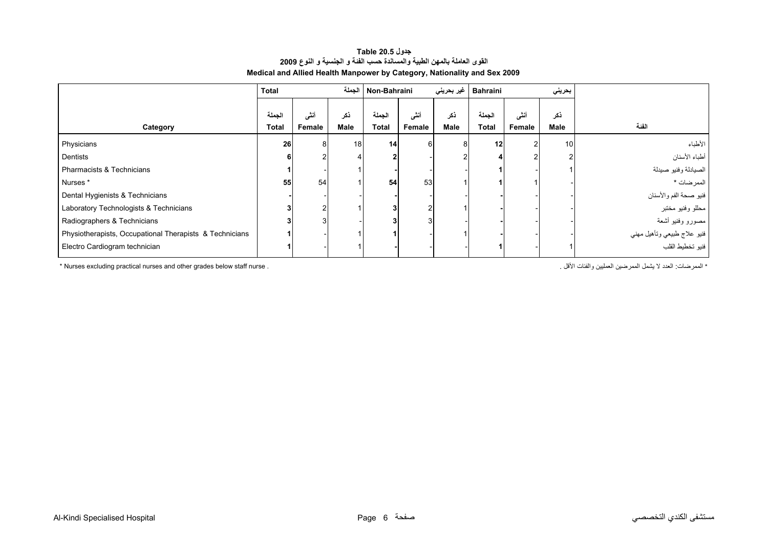#### **جدول 20.5 Table القوى العاملة بالمهن الطبية والمساندة حسب الفئة <sup>و</sup> الجنسية <sup>و</sup> النوع <sup>2009</sup> Medical and Allied Health Manpower by Category, Nationality and Sex 2009**

<span id="page-4-0"></span>

|                                                         | <b>Total</b> |                | الحملة |              | غير بحريني<br>Non-Bahraini |      | بحريني<br><b>Bahraini</b> |        |             |                             |
|---------------------------------------------------------|--------------|----------------|--------|--------------|----------------------------|------|---------------------------|--------|-------------|-----------------------------|
|                                                         | الحملة       | أنثم           | ذكر    | الحملة       | أنشى                       | ذكر  | الحملة                    | أنشى   | ذكر         |                             |
| Category                                                | <b>Total</b> | Female         | Male   | <b>Total</b> | Female                     | Male | <b>Total</b>              | Female | <b>Male</b> | الفئة                       |
| Physicians                                              | 26           | 8              | 18     | 14           |                            |      | 12                        |        | 10          | الأطباء                     |
| Dentists                                                | 6            |                |        |              |                            |      |                           |        |             | أطباء الأسنان               |
| Pharmacists & Technicians                               |              |                |        |              |                            |      |                           |        |             | الصيادلة وفنيو صيدلة        |
| Nurses*                                                 | 55           | 54             |        | 54           | 53                         |      |                           |        |             | الممرضات *                  |
| Dental Hygienists & Technicians                         |              |                |        |              |                            |      |                           |        |             | فنيو صحة الفم والأسنان      |
| Laboratory Technologists & Technicians                  |              | $\overline{c}$ |        |              |                            |      |                           |        |             | محللو وفنيو مختبر           |
| Radiographers & Technicians                             |              | 3              |        |              |                            |      |                           |        |             | مصورو وفنيو أشعة            |
| Physiotherapists, Occupational Therapists & Technicians |              |                |        |              |                            |      |                           |        |             | فنيو علاج طبيعي وتأهيل مهني |
| Electro Cardiogram technician                           |              |                |        |              |                            |      |                           |        |             | فنيو تخطيط القلب            |

\* المعرضات: الحدد لا يشمل الممرضين العمليين والفئات الأقل . . . " hurses excluding practical nurses and other grades below staff nurse .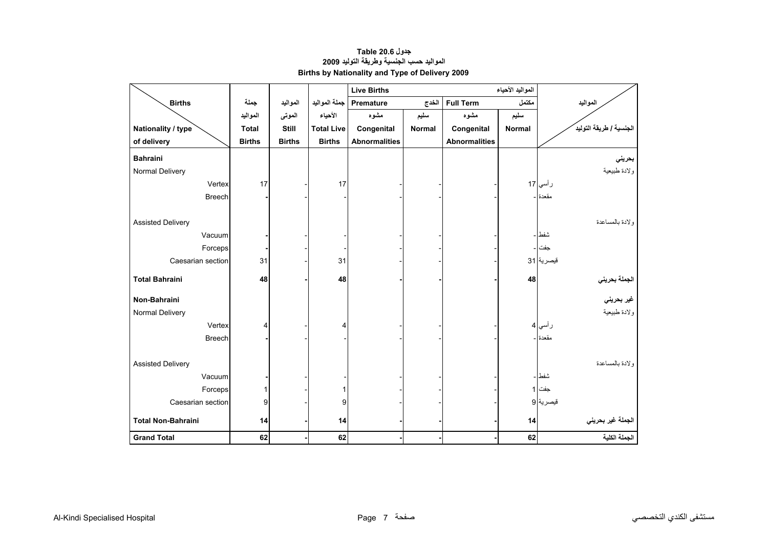<span id="page-5-0"></span>

|                           |               |               |                   | المواليد الأحياء<br><b>Live Births</b> |                           |                      |        |                         |
|---------------------------|---------------|---------------|-------------------|----------------------------------------|---------------------------|----------------------|--------|-------------------------|
| <b>Births</b>             | جملة          | المواليد      | جملة المواليد     | Premature                              | <b>Full Term</b><br>الخدج |                      | مكتمل  | المواليد                |
|                           | المواليد      | الموتى        | الأحياء           | مشوه                                   | سليم                      | مشوه                 | سليم   |                         |
| Nationality / type        | <b>Total</b>  | <b>Still</b>  | <b>Total Live</b> | Congenital                             | <b>Normal</b>             | Congenital           | Normal | الجنسية / طريقة التوليد |
| of delivery               | <b>Births</b> | <b>Births</b> | <b>Births</b>     | <b>Abnormalities</b>                   |                           | <b>Abnormalities</b> |        |                         |
| <b>Bahraini</b>           |               |               |                   |                                        |                           |                      |        | بحريني                  |
| Normal Delivery           |               |               |                   |                                        |                           |                      |        | ولادة طبيعية            |
| Vertex                    | 17            |               | 17                |                                        |                           |                      |        | ر أسي 17                |
| <b>Breech</b>             |               |               |                   |                                        |                           |                      |        | مقعدة -                 |
|                           |               |               |                   |                                        |                           |                      |        |                         |
| <b>Assisted Delivery</b>  |               |               |                   |                                        |                           |                      |        | ولادة بالمساعدة         |
| Vacuum                    |               |               |                   |                                        |                           |                      |        | شفط ا –                 |
| Forceps                   |               |               |                   |                                        |                           |                      |        | جفت ا -                 |
| Caesarian section         | 31            |               | 31                |                                        |                           |                      |        | قيصرية 31               |
|                           |               |               |                   |                                        |                           |                      |        |                         |
| <b>Total Bahraini</b>     | 48            |               | 48                |                                        |                           |                      | 48     | الجملة بحريني           |
| Non-Bahraini              |               |               |                   |                                        |                           |                      |        | غير بحرين <i>ي</i>      |
| Normal Delivery           |               |               |                   |                                        |                           |                      |        | ولادة طبيعية            |
| Vertex                    | 4             |               | 4                 |                                        |                           |                      |        | ر أسي  4                |
| <b>Breech</b>             |               |               |                   |                                        |                           |                      |        | مقعدة -                 |
|                           |               |               |                   |                                        |                           |                      |        |                         |
| <b>Assisted Delivery</b>  |               |               |                   |                                        |                           |                      |        | ولادة بالمساعدة         |
| Vacuum                    |               |               |                   |                                        |                           |                      |        | شفط –                   |
| Forceps                   | 1             |               |                   |                                        |                           |                      |        | جفت 1                   |
| Caesarian section         | 9             |               | 9                 |                                        |                           |                      |        | قيصرية 9                |
|                           |               |               |                   |                                        |                           |                      |        |                         |
| <b>Total Non-Bahraini</b> | 14            |               | 14                |                                        |                           |                      | 14     | الجملة غير بحريني       |
| <b>Grand Total</b>        | 62            |               | 62                |                                        |                           |                      | 62     | الجملة الكلية           |

# **جدول 20.6 Table المواليد حسب الجنسية وطريقة التوليد <sup>2009</sup> Births by Nationality and Type of Delivery 2009**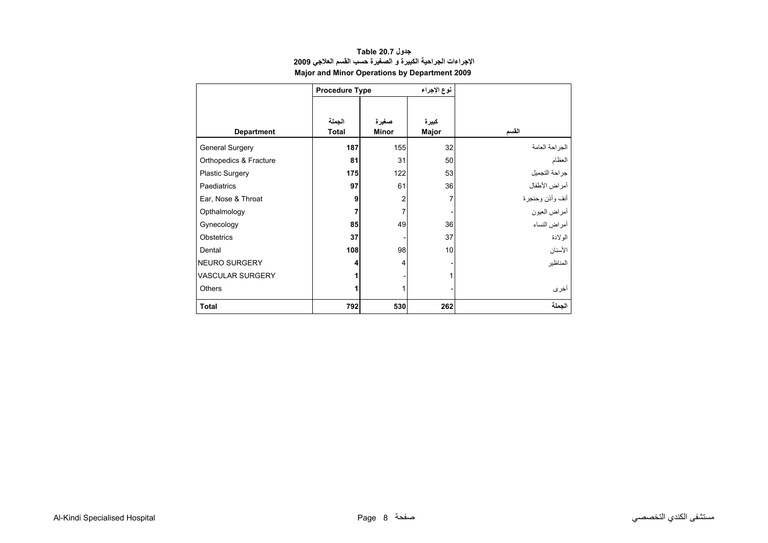<span id="page-6-0"></span>

|                         | <b>Procedure Type</b> |       | نوع الإجراء |                 |
|-------------------------|-----------------------|-------|-------------|-----------------|
|                         |                       |       |             |                 |
|                         | الجملة                | صغيرة | كبيرة       |                 |
| <b>Department</b>       | <b>Total</b>          | Minor | Major       | القسم           |
| <b>General Surgery</b>  | 187                   | 155   | 32          | الجراحة العامة  |
| Orthopedics & Fracture  | 81                    | 31    | 50          | العظام          |
| Plastic Surgery         | 175                   | 122   | 53          | جراحة التجميل   |
| <b>Paediatrics</b>      | 97                    | 61    | 36          | أمراض الأطفال   |
| Ear, Nose & Throat      | 9                     | 2     | 7           | أنف وأذن وحنجرة |
| Opthalmology            | 7                     | 7     |             | أمراض العيون    |
| Gynecology              | 85                    | 49    | 36          | أمراض النساء    |
| <b>Obstetrics</b>       | 37                    |       | 37          | الو لادة        |
| Dental                  | 108                   | 98    | 10          | الأسنان         |
| NEURO SURGERY           | 4                     | 4     |             | المناظير        |
| <b>VASCULAR SURGERY</b> |                       |       |             |                 |
| Others                  | 1                     |       |             | أخرى            |
| <b>Total</b>            | 792                   | 530   | 262         | الحملة          |

#### **جدول 20.7 Table الإجراءات الجراحية الكبيرة <sup>و</sup> الصغيرة حسب القسم العلاجي <sup>2009</sup> Major and Minor Operations by Department 2009**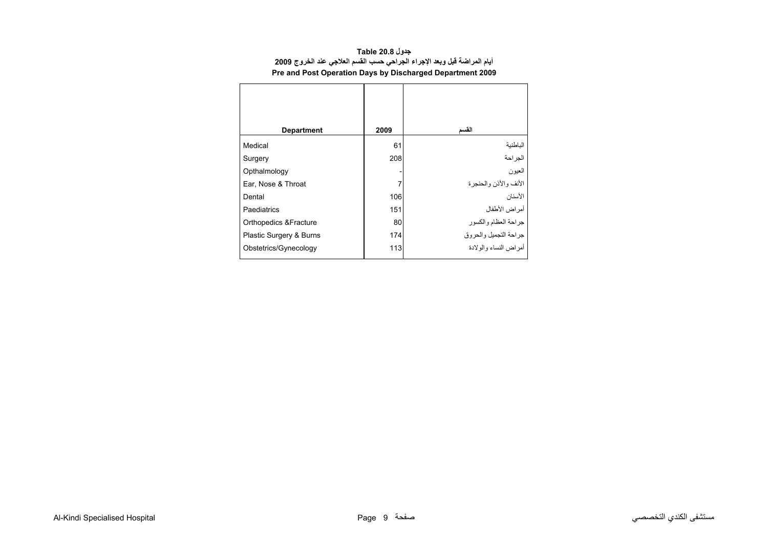| جدول Table 20.8                                                         |  |  |  |  |  |  |  |  |  |
|-------------------------------------------------------------------------|--|--|--|--|--|--|--|--|--|
| أيام المراضة قبل وبعد الإجراء الجراحي حسب القسم العلاجي عند الخروج 2009 |  |  |  |  |  |  |  |  |  |
| Pre and Post Operation Days by Discharged Department 2009               |  |  |  |  |  |  |  |  |  |

<span id="page-7-0"></span>

| <b>Department</b>       | 2009 | القسم                   |
|-------------------------|------|-------------------------|
| Medical                 | 61   | الباطنية                |
| Surgery                 | 208  | الجراحة                 |
| Opthalmology            |      | العيون                  |
| Ear, Nose & Throat      |      | الأنف والأذن والحنجرة   |
| Dental                  | 106  | الأسنان                 |
| Paediatrics             | 151  | أمراض الأطفال           |
| Orthopedics & Fracture  | 80   | جراحة العظام والكسور    |
| Plastic Surgery & Burns | 174  | جراحة التجميل والحروق   |
| Obstetrics/Gynecology   | 113  | أمر اض النساء والو لادة |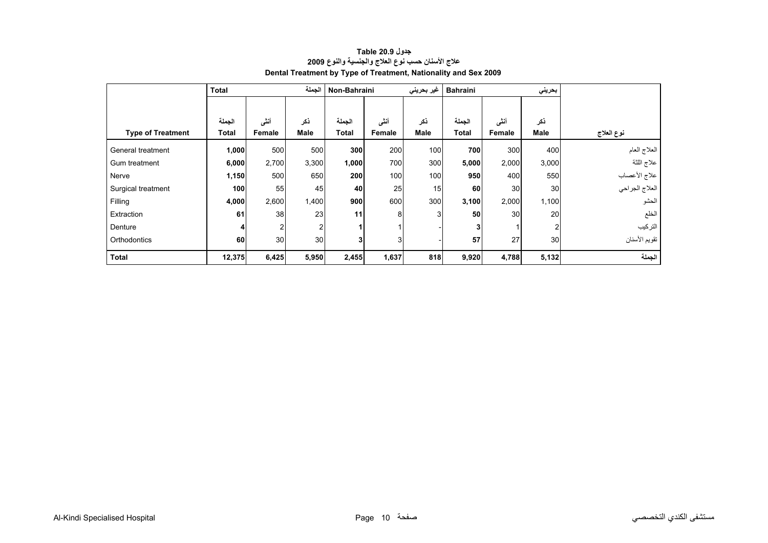<span id="page-8-0"></span>

|                          | الجملة<br><b>Total</b> |                 |             |              | Non-Bahraini<br><b>Bahraini</b><br>غیر بحرینی |             |                |        | بحريني         |                |
|--------------------------|------------------------|-----------------|-------------|--------------|-----------------------------------------------|-------------|----------------|--------|----------------|----------------|
|                          |                        |                 |             |              |                                               |             |                |        |                |                |
|                          | الجملة                 | أننى            | ذكر         | الجملة       | أنشى                                          | ذكر         | الجملة         | أنشى   | ذكر            |                |
| <b>Type of Treatment</b> | Total                  | Female          | <b>Male</b> | <b>Total</b> | <b>Female</b>                                 | <b>Male</b> | <b>Total</b>   | Female | <b>Male</b>    | نوع العلاج     |
| General treatment        | 1,000                  | 500             | 500         | 300          | 200                                           | 100         | 700            | 300    | 400            | العلاج العام   |
| Gum treatment            | 6,000                  | 2,700           | 3,300       | 1,000        | 700                                           | 300         | 5,000          | 2,000  | 3,000          | علاج اللثة     |
| Nerve                    | 1,150                  | 500             | 650         | 200          | 100                                           | 100         | 950            | 400    | 550            | علاج الأعصاب   |
| Surgical treatment       | 100                    | 55              | 45          | 40           | 25                                            | 15          | 60             | 30     | 30             | العلاج الجراحي |
| Filling                  | 4,000                  | 2,600           | 1,400       | 900          | 600                                           | 300         | 3,100          | 2,000  | 1,100          | الحشو          |
| Extraction               | 61                     | 38              | 23          | 11           | 8                                             | 3           | 50             | 30     | 20             | الخلع          |
| Denture                  | 4                      |                 | 2           |              |                                               |             | 3 <sub>l</sub> |        | $\overline{2}$ | التركيب        |
| Orthodontics             | 60                     | 30 <sup>1</sup> | 30          |              | 3 <sub>1</sub>                                |             | 57             | 27     | 30             | تقويم الأسنان  |
| <b>Total</b>             | 12,375                 | 6,425           | 5,950       | 2,455        | 1,637                                         | 818         | 9,920          | 4,788  | 5,132          | الجملة         |

# **جدول 20.9 Table علاج الأسنان حسب نوع العلاج والجنسية والنوع <sup>2009</sup> Dental Treatment by Type of Treatment, Nationality and Sex 2009**